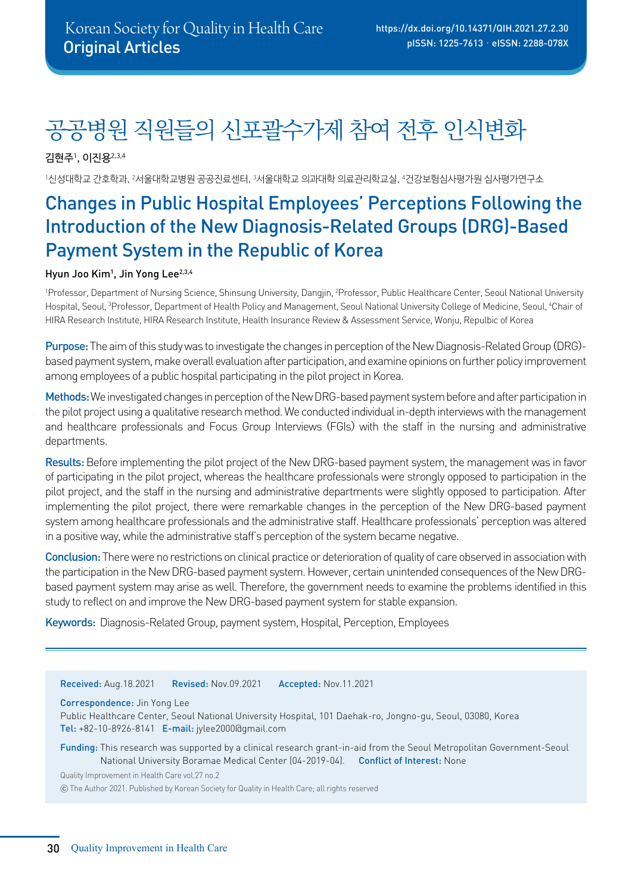# 공공병원 직원들의 신포괄수가제 참여 전후 인식변화

김현주1, 이진용2,3,4

1신성대학교 간호학과, 2서울대학교병원 공공진료센터, 3서울대학교 의과대학 의료관리학교실, 4건강보험심사평가원 심사평가연구소

## Changes in Public Hospital Employees' Perceptions Following the Introduction of the New Diagnosis-Related Groups (DRG)-Based Payment System in the Republic of Korea

#### Hyun Joo Kim<sup>1</sup>, Jin Yong Lee<sup>2,3,4</sup>

<sup>1</sup>Professor, Department of Nursing Science, Shinsung University, Dangjin, <sup>2</sup>Professor, Public Healthcare Center, Seoul National University Hospital, Seoul, 3 Professor, Department of Health Policy and Management, Seoul National University College of Medicine, Seoul, 4 Chair of HIRA Research Institute, HIRA Research Institute, Health Insurance Review & Assessment Service, Wonju, Repulbic of Korea

Purpose:The aim of this study was to investigate the changes in perception of the New Diagnosis-Related Group (DRG) based payment system, make overall evaluation after participation, and examine opinions on further policy improvement among employees of a public hospital participating in the pilot project in Korea.

Methods: We investigated changes in perception of the New DRG-based payment system before and after participation in the pilot project using a qualitative research method. We conducted individual in-depth interviews with the management and healthcare professionals and Focus Group Interviews (FGIs) with the staff in the nursing and administrative departments.

Results: Before implementing the pilot project of the New DRG-based payment system, the management was in favor of participating in the pilot project, whereas the healthcare professionals were strongly opposed to participation in the pilot project, and the staff in the nursing and administrative departments were slightly opposed to participation. After implementing the pilot project, there were remarkable changes in the perception of the New DRG-based payment system among healthcare professionals and the administrative staff. Healthcare professionals' perception was altered in a positive way, while the administrative staff's perception of the system became negative.

Conclusion: There were no restrictions on clinical practice or deterioration of quality of care observed in association with the participation in the New DRG-based payment system. However, certain unintended consequences of the New DRGbased payment system may arise as well. Therefore, the government needs to examine the problems identified in this study to reflect on and improve the New DRG-based payment system for stable expansion.

Keywords: Diagnosis-Related Group, payment system, Hospital, Perception, Employees

Received: Aug.18.2021 Revised: Nov.09.2021 Accepted: Nov.11.2021

Correspondence: Jin Yong Lee

Public Healthcare Center, Seoul National University Hospital, 101 Daehak-ro, Jongno-gu, Seoul, 03080, Korea Tel: +82-10-8926-8141 E-mail: jylee2000@gmail.com

Funding: This research was supported by a clinical research grant-in-aid from the Seoul Metropolitan Government-Seoul National University Boramae Medical Center (04-2019-04). Conflict of Interest: None

Quality Improvement in Health Care vol.27 no.2

ⓒ The Author 2021. Published by Korean Society for Quality in Health Care; all rights reserved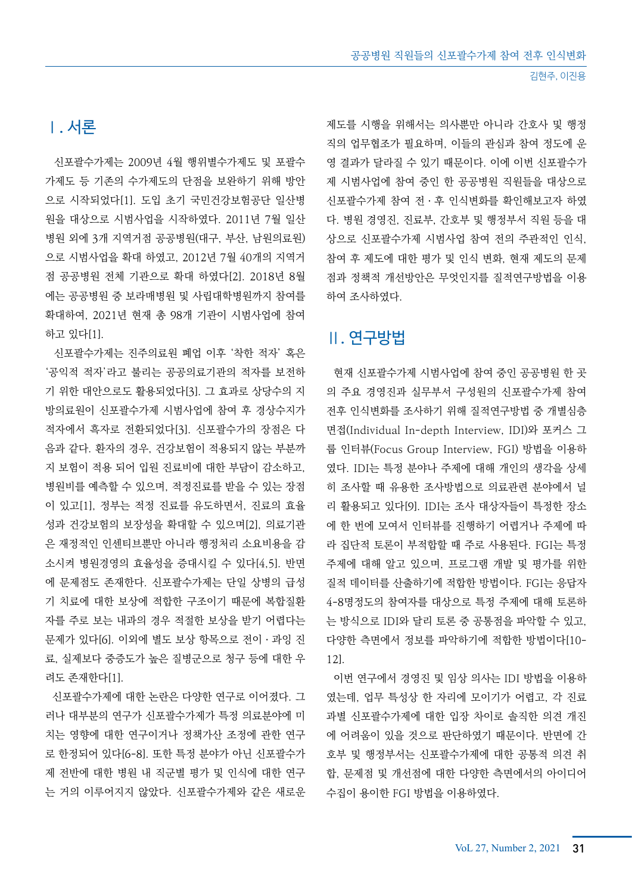## Ⅰ. 서론

 신포괄수가제는 2009년 4월 행위별수가제도 및 포괄수 가제도 등 기존의 수가제도의 단점을 보완하기 위해 방안 으로 시작되었다[1]. 도입 초기 국민건강보험공단 일산병 원을 대상으로 시범사업을 시작하였다. 2011년 7월 일산 병원 외에 3개 지역거점 공공병원(대구, 부산, 남원의료원) 으로 시범사업을 확대 하였고, 2012년 7월 40개의 지역거 점 공공병원 전체 기관으로 확대 하였다[2]. 2018년 8월 에는 공공병원 중 보라매병원 및 사립대학병원까지 참여를 확대하여, 2021년 현재 총 98개 기관이 시범사업에 참여 하고 있다[1].

 신포괄수가제는 진주의료원 폐업 이후 '착한 적자' 혹은 '공익적 적자'라고 불리는 공공의료기관의 적자를 보전하 기 위한 대안으로도 활용되었다[3]. 그 효과로 상당수의 지 방의료원이 신포괄수가제 시범사업에 참여 후 경상수지가 적자에서 흑자로 전환되었다[3]. 신포괄수가의 장점은 다 음과 같다. 환자의 경우, 건강보험이 적용되지 않는 부분까 지 보험이 적용 되어 입원 진료비에 대한 부담이 감소하고, 병원비를 예측할 수 있으며, 적정진료를 받을 수 있는 장점 이 있고[1], 정부는 적정 진료를 유도하면서, 진료의 효율 성과 건강보험의 보장성을 확대할 수 있으며[2], 의료기관 은 재정적인 인센티브뿐만 아니라 행정처리 소요비용을 감 소시켜 병원경영의 효율성을 증대시킬 수 있다[4,5]. 반면 에 문제점도 존재한다. 신포괄수가제는 단일 상병의 급성 기 치료에 대한 보상에 적합한 구조이기 때문에 복합질환 자를 주로 보는 내과의 경우 적절한 보상을 받기 어렵다는 문제가 있다[6]. 이외에 별도 보상 항목으로 전이ㆍ과잉 진 료, 실제보다 중증도가 높은 질병군으로 청구 등에 대한 우 려도 존재한다[1].

 신포괄수가제에 대한 논란은 다양한 연구로 이어졌다. 그 러나 대부분의 연구가 신포괄수가제가 특정 의료분야에 미 치는 영향에 대한 연구이거나 정책가산 조정에 관한 연구 로 한정되어 있다[6-8]. 또한 특정 분야가 아닌 신포괄수가 제 전반에 대한 병원 내 직군별 평가 및 인식에 대한 연구 는 거의 이루어지지 않았다. 신포괄수가제와 같은 새로운

제도를 시행을 위해서는 의사뿐만 아니라 간호사 및 행정 직의 업무협조가 필요하며, 이들의 관심과 참여 정도에 운 영 결과가 달라질 수 있기 때문이다. 이에 이번 신포괄수가 제 시범사업에 참여 중인 한 공공병원 직원들을 대상으로 신포괄수가제 참여 전ㆍ후 인식변화를 확인해보고자 하였 다. 병원 경영진, 진료부, 간호부 및 행정부서 직원 등을 대 상으로 신포괄수가제 시범사업 참여 전의 주관적인 인식, 참여 후 제도에 대한 평가 및 인식 변화, 현재 제도의 문제 점과 정책적 개선방안은 무엇인지를 질적연구방법을 이용 하여 조사하였다.

## Ⅱ. 연구방법

 현재 신포괄수가제 시범사업에 참여 중인 공공병원 한 곳 의 주요 경영진과 실무부서 구성원의 신포괄수가제 참여 전후 인식변화를 조사하기 위해 질적연구방법 중 개별심층 면접(Individual In-depth Interview, IDI)와 포커스 그 룹 인터뷰(Focus Group Interview, FGI) 방법을 이용하 였다. IDI는 특정 분야나 주제에 대해 개인의 생각을 상세 히 조사할 때 유용한 조사방법으로 의료관련 분야에서 널 리 활용되고 있다[9]. IDI는 조사 대상자들이 특정한 장소 에 한 번에 모여서 인터뷰를 진행하기 어렵거나 주제에 따 라 집단적 토론이 부적합할 때 주로 사용된다. FGI는 특정 주제에 대해 알고 있으며, 프로그램 개발 및 평가를 위한 질적 데이터를 산출하기에 적합한 방법이다. FGI는 응답자 4-8명정도의 참여자를 대상으로 특정 주제에 대해 토론하 는 방식으로 IDI와 달리 토론 중 공통점을 파악할 수 있고, 다양한 측면에서 정보를 파악하기에 적합한 방법이다[10- 12].

 이번 연구에서 경영진 및 임상 의사는 IDI 방법을 이용하 였는데, 업무 특성상 한 자리에 모이기가 어렵고, 각 진료 과별 신포괄수가제에 대한 입장 차이로 솔직한 의견 개진 에 어려움이 있을 것으로 판단하였기 때문이다. 반면에 간 호부 및 행정부서는 신포괄수가제에 대한 공통적 의견 취 합, 문제점 및 개선점에 대한 다양한 측면에서의 아이디어 수집이 용이한 FGI 방법을 이용하였다.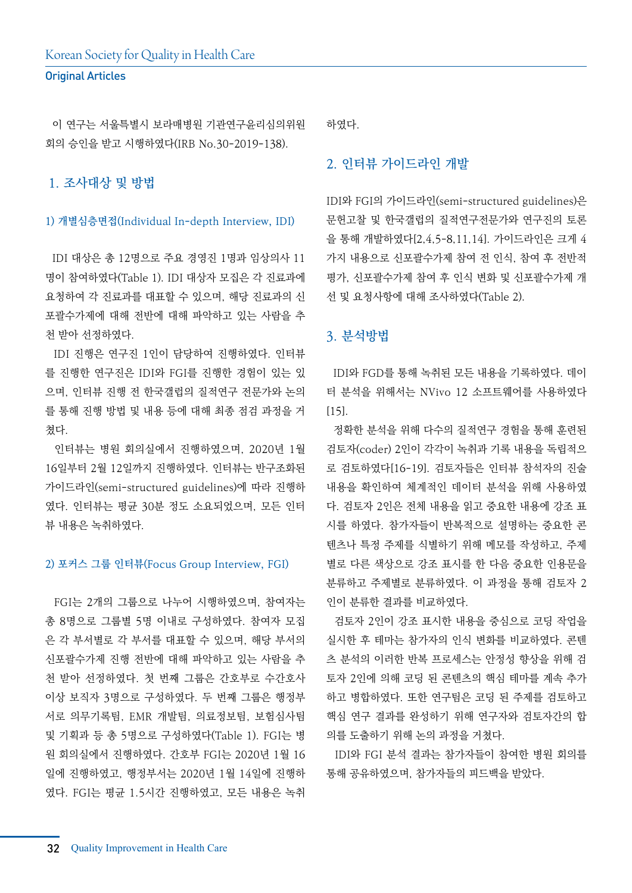이 연구는 서울특별시 보라매병원 기관연구윤리심의위원 회의 승인을 받고 시행하였다(IRB No.30-2019-138).

#### 1. 조사대상 및 방법

#### 1) 개별심층면접(Individual In-depth Interview, IDI)

 IDI 대상은 총 12명으로 주요 경영진 1명과 임상의사 11 명이 참여하였다(Table 1). IDI 대상자 모집은 각 진료과에 요청하여 각 진료과를 대표할 수 있으며, 해당 진료과의 신 포괄수가제에 대해 전반에 대해 파악하고 있는 사람을 추 천 받아 선정하였다.

 IDI 진행은 연구진 1인이 담당하여 진행하였다. 인터뷰 를 진행한 연구진은 IDI와 FGI를 진행한 경험이 있는 있 으며, 인터뷰 진행 전 한국갤럽의 질적연구 전문가와 논의 를 통해 진행 방법 및 내용 등에 대해 최종 점검 과정을 거 쳤다.

 인터뷰는 병원 회의실에서 진행하였으며, 2020년 1월 16일부터 2월 12일까지 진행하였다. 인터뷰는 반구조화된 가이드라인(semi-structured guidelines)에 따라 진행하 였다. 인터뷰는 평균 30분 정도 소요되었으며, 모든 인터 뷰 내용은 녹취하였다.

#### 2) 포커스 그룹 인터뷰(Focus Group Interview, FGI)

 FGI는 2개의 그룹으로 나누어 시행하였으며, 참여자는 총 8명으로 그룹별 5명 이내로 구성하였다. 참여자 모집 은 각 부서별로 각 부서를 대표할 수 있으며, 해당 부서의 신포괄수가제 진행 전반에 대해 파악하고 있는 사람을 추 천 받아 선정하였다. 첫 번째 그룹은 간호부로 수간호사 이상 보직자 3명으로 구성하였다. 두 번째 그룹은 행정부 서로 의무기록팀, EMR 개발팀, 의료정보팀, 보험심사팀 및 기획과 등 총 5명으로 구성하였다(Table 1). FGI는 병 원 회의실에서 진행하였다. 간호부 FGI는 2020년 1월 16 일에 진행하였고, 행정부서는 2020년 1월 14일에 진행하 였다. FGI는 평균 1.5시간 진행하였고, 모든 내용은 녹취

하였다.

#### 2. 인터뷰 가이드라인 개발

IDI와 FGI의 가이드라인(semi-structured guidelines)은 문헌고찰 및 한국갤럽의 질적연구전문가와 연구진의 토론 을 통해 개발하였다[2,4,5-8,11,14]. 가이드라인은 크게 4 가지 내용으로 신포괄수가제 참여 전 인식, 참여 후 전반적 평가, 신포괄수가제 참여 후 인식 변화 및 신포괄수가제 개 선 및 요청사항에 대해 조사하였다(Table 2).

#### 3. 분석방법

 IDI와 FGD를 통해 녹취된 모든 내용을 기록하였다. 데이 터 분석을 위해서는 NVivo 12 소프트웨어를 사용하였다 [15].

 정확한 분석을 위해 다수의 질적연구 경험을 통해 훈련된 검토자(coder) 2인이 각각이 녹취과 기록 내용을 독립적으 로 검토하였다[16-19]. 검토자들은 인터뷰 참석자의 진술 내용을 확인하여 체계적인 데이터 분석을 위해 사용하였 다. 검토자 2인은 전체 내용을 읽고 중요한 내용에 강조 표 시를 하였다. 참가자들이 반복적으로 설명하는 중요한 콘 텐츠나 특정 주제를 식별하기 위해 메모를 작성하고, 주제 별로 다른 색상으로 강조 표시를 한 다음 중요한 인용문을 분류하고 주제별로 분류하였다. 이 과정을 통해 검토자 2 인이 분류한 결과를 비교하였다.

 검토자 2인이 강조 표시한 내용을 중심으로 코딩 작업을 실시한 후 테마는 참가자의 인식 변화를 비교하였다. 콘텐 츠 분석의 이러한 반복 프로세스는 안정성 향상을 위해 검 토자 2인에 의해 코딩 된 콘텐츠의 핵심 테마를 계속 추가 하고 병합하였다. 또한 연구팀은 코딩 된 주제를 검토하고 핵심 연구 결과를 완성하기 위해 연구자와 검토자간의 합 의를 도출하기 위해 논의 과정을 거쳤다.

 IDI와 FGI 분석 결과는 참가자들이 참여한 병원 회의를 통해 공유하였으며, 참가자들의 피드백을 받았다.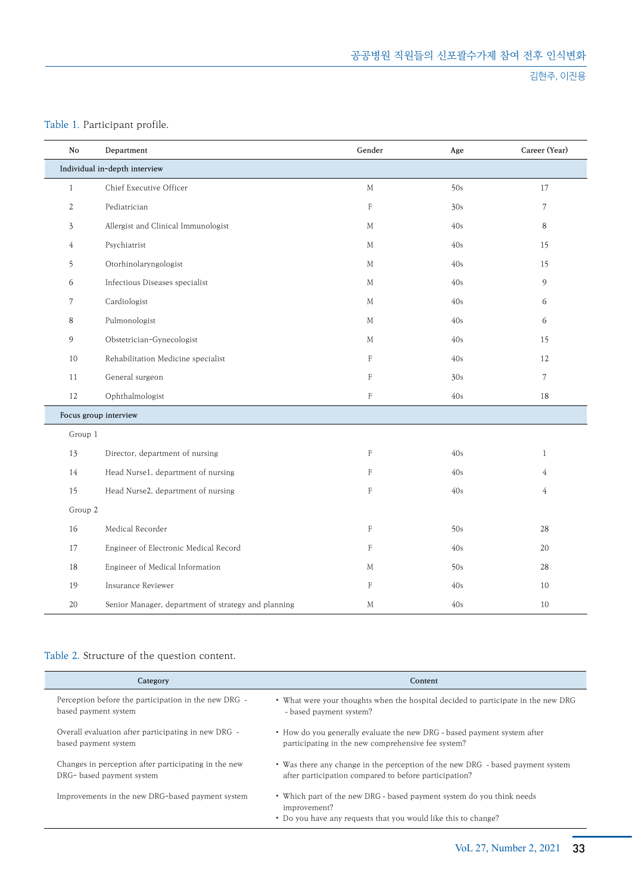#### 김현주, 이진용

#### Table 1. Participant profile.

| No             | Department                                          | Gender       | Age | Career (Year)  |  |  |
|----------------|-----------------------------------------------------|--------------|-----|----------------|--|--|
|                | Individual in-depth interview                       |              |     |                |  |  |
| $\mathbf{1}$   | Chief Executive Officer                             | $\mathbf M$  | 50s | 17             |  |  |
| 2              | Pediatrician                                        | $\mathbf F$  | 30s | 7              |  |  |
| $\mathfrak{Z}$ | Allergist and Clinical Immunologist                 | М            | 40s | 8              |  |  |
| $\overline{4}$ | Psychiatrist                                        | M            | 40s | 15             |  |  |
| 5              | Otorhinolaryngologist                               | М            | 40s | 15             |  |  |
| 6              | Infectious Diseases specialist                      | М            | 40s | 9              |  |  |
| $\overline{7}$ | Cardiologist                                        | M            | 40s | 6              |  |  |
| 8              | Pulmonologist                                       | M            | 40s | 6              |  |  |
| 9              | Obstetrician-Gynecologist                           | M            | 40s | 15             |  |  |
| 10             | Rehabilitation Medicine specialist                  | $\mathbf F$  | 40s | 12             |  |  |
| 11             | General surgeon                                     | $\mathbf F$  | 30s | 7              |  |  |
| 12             | Ophthalmologist                                     | $\mathbf F$  | 40s | 18             |  |  |
|                | Focus group interview                               |              |     |                |  |  |
| Group 1        |                                                     |              |     |                |  |  |
| 13             | Director, department of nursing                     | F            | 40s | $\mathbf{1}$   |  |  |
| 14             | Head Nurse1, department of nursing                  | $\mathbf F$  | 40s | $\overline{4}$ |  |  |
| 15             | Head Nurse2, department of nursing                  | $\mathsf{F}$ | 40s | $\overline{4}$ |  |  |
| Group 2        |                                                     |              |     |                |  |  |
| 16             | Medical Recorder                                    | $\mathbf F$  | 50s | 28             |  |  |
| 17             | Engineer of Electronic Medical Record               | $\mathbf F$  | 40s | 20             |  |  |
| 18             | Engineer of Medical Information                     | M            | 50s | 28             |  |  |
| 19             | Insurance Reviewer                                  | $\rm F$      | 40s | 10             |  |  |
| 20             | Senior Manager, department of strategy and planning | М            | 40s | 10             |  |  |

#### Table 2. Structure of the question content.

| Category                                             | Content                                                                                                                                                 |
|------------------------------------------------------|---------------------------------------------------------------------------------------------------------------------------------------------------------|
| Perception before the participation in the new DRG - | • What were your thoughts when the hospital decided to participate in the new DRG                                                                       |
| based payment system                                 | - based payment system?                                                                                                                                 |
| Overall evaluation after participating in new DRG -  | • How do you generally evaluate the new DRG - based payment system after                                                                                |
| based payment system                                 | participating in the new comprehensive fee system?                                                                                                      |
| Changes in perception after participating in the new | • Was there any change in the perception of the new DRG - based payment system                                                                          |
| DRG- based payment system                            | after participation compared to before participation?                                                                                                   |
| Improvements in the new DRG-based payment system     | • Which part of the new DRG - based payment system do you think needs<br>improvement?<br>• Do you have any requests that you would like this to change? |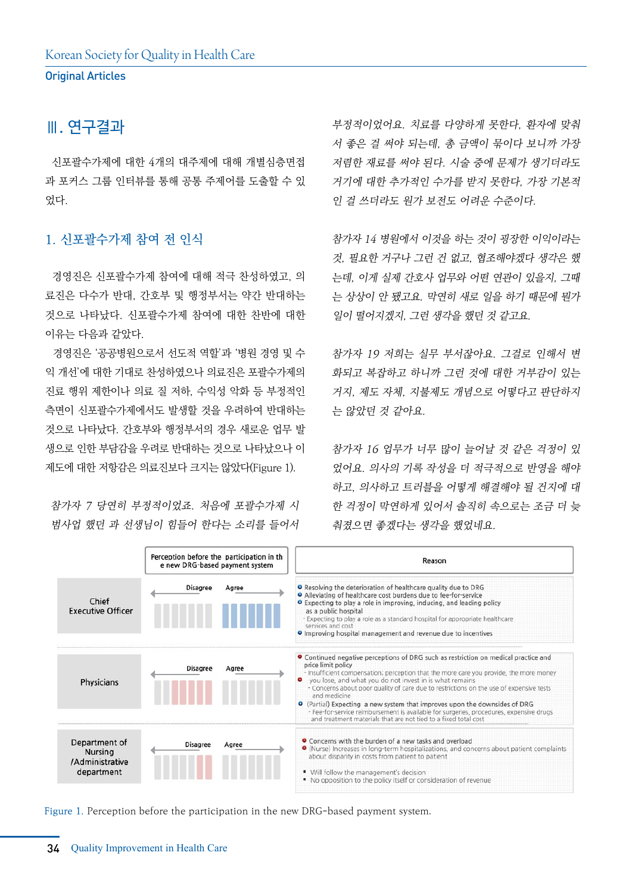### Ⅲ. 연구결과

 신포괄수가제에 대한 4개의 대주제에 대해 개별심층면접 과 포커스 그룹 인터뷰를 통해 공통 주제어를 도출할 수 있 었다.

#### 1. 신포괄수가제 참여 전 인식

 경영진은 신포괄수가제 참여에 대해 적극 찬성하였고, 의 료진은 다수가 반대, 간호부 및 행정부서는 약간 반대하는 것으로 나타났다. 신포괄수가제 참여에 대한 찬반에 대한 이유는 다음과 같았다.

 경영진은 '공공병원으로서 선도적 역할'과 '병원 경영 및 수 익 개선'에 대한 기대로 찬성하였으나 의료진은 포괄수가제의 진료 행위 제한이나 의료 질 저하, 수익성 악화 등 부정적인 측면이 신포괄수가제에서도 발생할 것을 우려하여 반대하는 것으로 나타났다. 간호부와 행정부서의 경우 새로운 업무 발 생으로 인한 부담감을 우려로 반대하는 것으로 나타났으나 이 제도에 대한 저항감은 의료진보다 크지는 않았다(Figure 1).

참가자 7 당연히 부정적이었죠. 처음에 포괄수가제 시 범사업 했던 과 선생님이 힘들어 한다는 소리를 들어서 부정적이었어요. 치료를 다양하게 못한다, 환자에 맞춰 서 좋은 걸 써야 되는데, 총 금액이 묶이다 보니까 가장 저렴한 재료를 써야 된다. 시술 중에 문제가 생기더라도 거기에 대한 추가적인 수가를 받지 못한다, 가장 기본적 인 걸 쓰더라도 원가 보전도 어려운 수준이다.

참가자 14 병원에서 이것을 하는 것이 굉장한 이익이라는 것, 필요한 거구나 그런 건 없고, 협조해야겠다 생각은 했 는데, 이게 실제 간호사 업무와 어떤 연관이 있을지, 그때 는 상상이 안 됐고요. 막연히 새로 일을 하기 때문에 뭔가 일이 떨어지겠지, 그런 생각을 했던 것 같고요.

참가자 19 저희는 실무 부서잖아요. 그걸로 인해서 변 화되고 복잡하고 하니까 그런 것에 대한 거부감이 있는 거지, 제도 자체, 지불제도 개념으로 어떻다고 판단하지 는 않았던 것 같아요.

참가자 16 업무가 너무 많이 늘어날 것 같은 걱정이 있 었어요. 의사의 기록 작성을 더 적극적으로 반영을 해야 하고, 의사하고 트러블을 어떻게 해결해야 될 건지에 대 한 걱정이 막연하게 있어서 솔직히 속으로는 조금 더 늦 춰졌으면 좋겠다는 생각을 했었네요.



Figure 1. Perception before the participation in the new DRG-based payment system.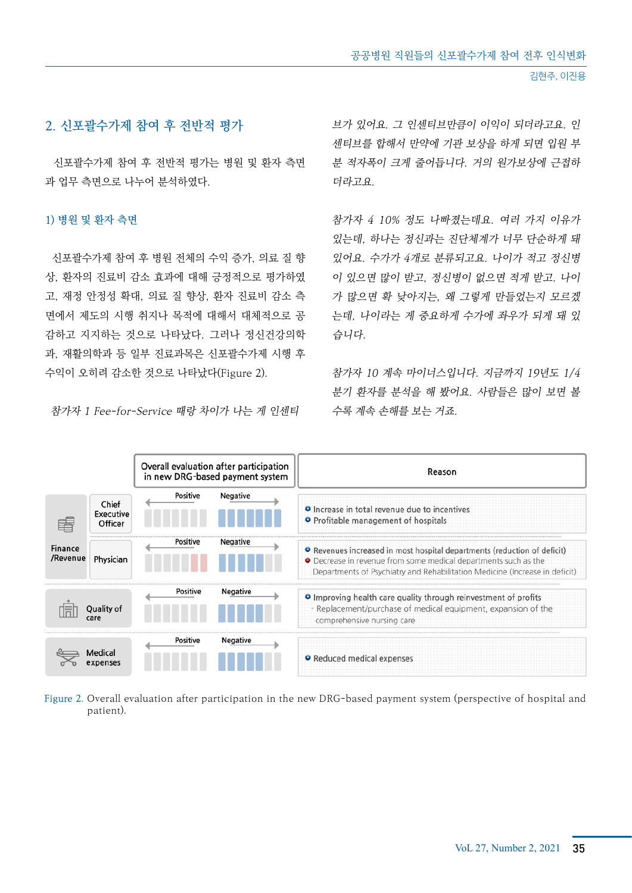#### 2. 신포괄수가제 참여 후 전반적 평가

 신포괄수가제 참여 후 전반적 평가는 병원 및 환자 측면 과 업무 측면으로 나누어 분석하였다.

#### 1) 병원 및 환자 측면

 신포괄수가제 참여 후 병원 전체의 수익 증가, 의료 질 향 상, 환자의 진료비 감소 효과에 대해 긍정적으로 평가하였 고, 재정 안정성 확대, 의료 질 향상, 환자 진료비 감소 측 면에서 제도의 시행 취지나 목적에 대해서 대체적으로 공 감하고 지지하는 것으로 나타났다. 그러나 정신건강의학 과, 재활의학과 등 일부 진료과목은 신포괄수가제 시행 후 수익이 오히려 감소한 것으로 나타났다(Figure 2).

참가자 1 Fee-for-Service 때랑 차이가 나는 게 인센티

브가 있어요. 그 인센티브만큼이 이익이 되더라고요. 인 센티브를 합해서 만약에 기관 보상을 하게 되면 입원 부 분 적자폭이 크게 줄어듭니다. 거의 원가보상에 근접하 더라고요

참가자 4 10% 정도 나빠졌는데요. 여러 가지 이유가 있는데, 하나는 정신과는 진단체계가 너무 단순하게 돼 있어요. 수가가 4개로 분류되고요. 나이가 적고 정신병 이 있으면 많이 받고, 정신병이 없으면 적게 받고. 나이 가 많으면 확 낮아지는, 왜 그렇게 만들었는지 모르겠 는데, 나이라는 게 중요하게 수가에 좌우가 되게 돼 있 습니다.

참가자 10 계속 마이너스입니다. 지금까지 19년도 1/4 분기 환자를 분석을 해 봤어요. 사람들은 많이 보면 볼 수록 계속 손해를 보는 거죠.

|                     |                               | Overall evaluation after participation<br>in new DRG-based payment system |                 | Reason                                                                                                                                                                                                                     |  |
|---------------------|-------------------------------|---------------------------------------------------------------------------|-----------------|----------------------------------------------------------------------------------------------------------------------------------------------------------------------------------------------------------------------------|--|
| Finance<br>/Revenue | Chief<br>Executive<br>Officer | Positive                                                                  | <b>Negative</b> | <b>O</b> Increase in total revenue due to incentives<br><b>O</b> Profitable management of hospitals                                                                                                                        |  |
|                     | Physician                     | <b>Positive</b>                                                           | <b>Negative</b> | • Revenues increased in most hospital departments (reduction of deficit)<br>• Decrease in revenue from some medical departments such as the<br>Departments of Psychiatry and Rehabilitation Medicine (Increase in deficit) |  |
| Quality of          |                               | Positive                                                                  | <b>Negative</b> | <b>O</b> Improving health care quality through reinvestment of profits<br>- Replacement/purchase of medical equipment, expansion of the<br>comprehensive nursing care                                                      |  |
|                     | Medical<br>expenses           | Positive                                                                  | <b>Negative</b> | <b>O</b> Reduced medical expenses                                                                                                                                                                                          |  |

Figure 2. Overall evaluation after participation in the new DRG-based payment system (perspective of hospital and patient).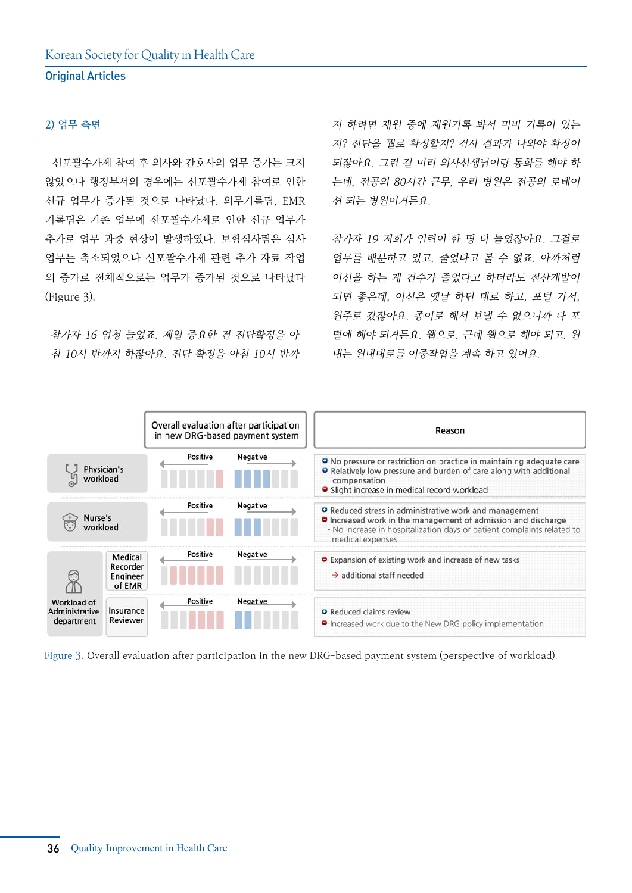#### 2) 업무 측면

 신포괄수가제 참여 후 의사와 간호사의 업무 증가는 크지 않았으나 행정부서의 경우에는 신포괄수가제 참여로 인한 신규 업무가 증가된 것으로 나타났다. 의무기록팀, EMR 기록팀은 기존 업무에 신포괄수가제로 인한 신규 업무가 추가로 업무 과중 현상이 발생하였다. 보험심사팀은 심사 업무는 축소되었으나 신포괄수가제 관련 추가 자료 작업 의 증가로 전체적으로는 업무가 증가된 것으로 나타났다 (Figure 3).

참가자 16 엄청 늘었죠. 제일 중요한 건 진단확정을 아 침 10시 반까지 하잖아요. 진단 확정을 아침 10시 반까

지 하려면 재원 중에 재원기록 봐서 미비 기록이 있는 지? 진단을 뭘로 확정할지? 검사 결과가 나와야 확정이 되잖아요. 그런 걸 미리 의사선생님이랑 통화를 해야 하 는데, 전공의 80시간 근무, 우리 병원은 전공의 로테이 션 되는 병원이거든요.

참가자 19 저희가 인력이 한 명 더 늘었잖아요. 그걸로 업무를 배분하고 있고, 줄었다고 볼 수 없죠. 아까처럼 이신을 하는 게 건수가 줄었다고 하더라도 전산개발이 되면 좋은데, 이신은 옛날 하던 대로 하고, 포털 가서, 원주로 갔잖아요. 종이로 해서 보낼 수 없으니까 다 포 털에 해야 되거든요. 웹으로. 근데 웹으로 해야 되고. 원 내는 원내대로를 이중작업을 계속 하고 있어요.



Figure 3. Overall evaluation after participation in the new DRG-based payment system (perspective of workload).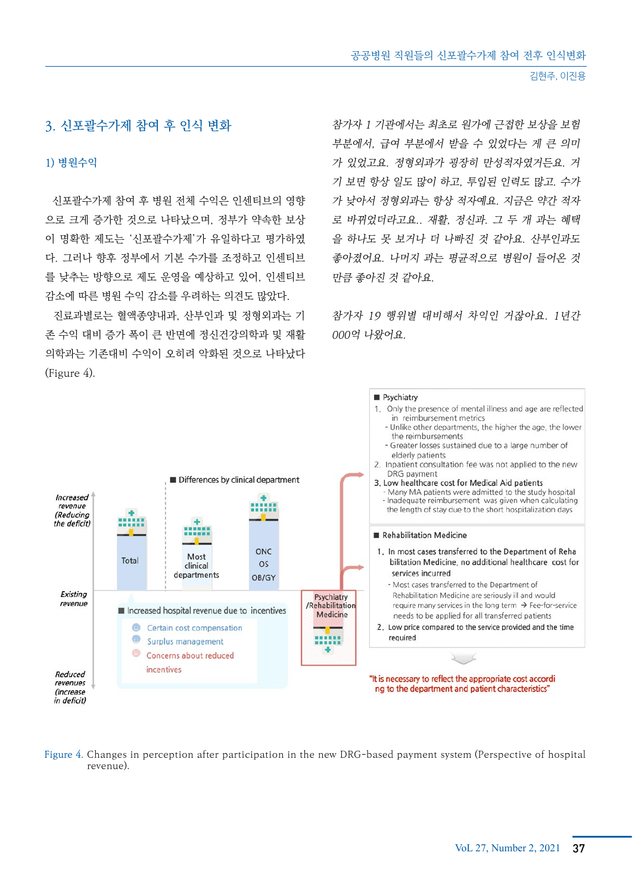#### 3. 신포괄수가제 참여 후 인식 변화

#### 1) 병원수익

 신포괄수가제 참여 후 병원 전체 수익은 인센티브의 영향 으로 크게 증가한 것으로 나타났으며, 정부가 약속한 보상 이 명확한 제도는 '신포괄수가제'가 유일하다고 평가하였 다. 그러나 향후 정부에서 기본 수가를 조정하고 인센티브 를 낮추는 방향으로 제도 운영을 예상하고 있어, 인센티브 감소에 따른 병원 수익 감소를 우려하는 의견도 많았다.

 진료과별로는 혈액종양내과, 산부인과 및 정형외과는 기 존 수익 대비 증가 폭이 큰 반면에 정신건강의학과 및 재활 의학과는 기존대비 수익이 오히려 악화된 것으로 나타났다 (Figure 4).

참가자 1 기관에서는 최초로 원가에 근접한 보상을 보험 부분에서, 급여 부분에서 받을 수 있었다는 게 큰 의미 가 있었고요. 정형외과가 굉장히 만성적자였거든요. 거 기 보면 항상 일도 많이 하고, 투입된 인력도 많고. 수가 가 낮아서 정형외과는 항상 적자예요. 지금은 약간 적자 로 바뀌었더라고요.. 재활, 정신과. 그 두 개 과는 혜택 을 하나도 못 보거나 더 나빠진 것 같아요. 산부인과도 좋아졌어요. 나머지 과는 평균적으로 병원이 들어온 것 만큼 좋아진 것 같아요.

참가자 19 행위별 대비해서 차익인 거잖아요. 1년간 000억 나왔어요.



Figure 4. Changes in perception after participation in the new DRG-based payment system (Perspective of hospital revenue).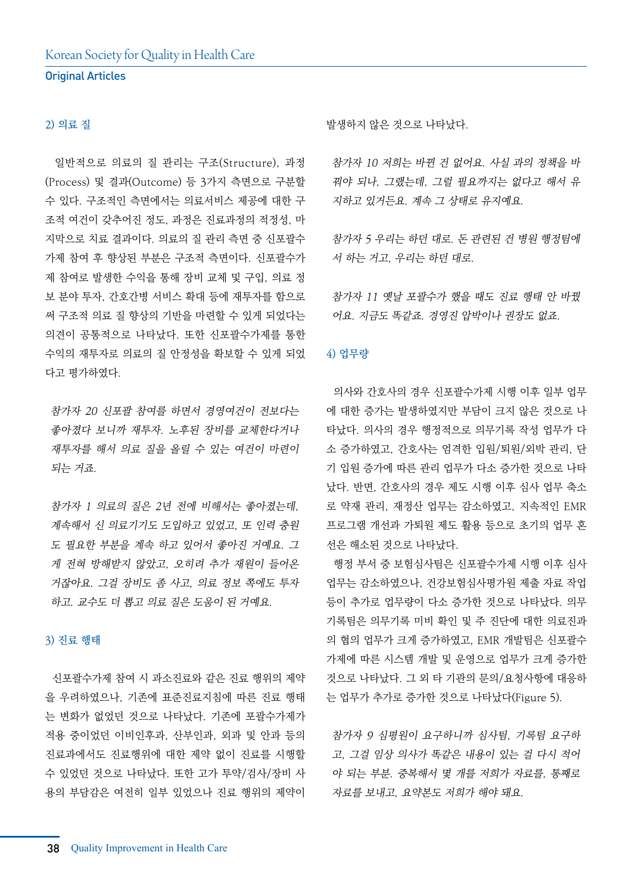#### 2) 의료 질

 일반적으로 의료의 질 관리는 구조(Structure), 과정 (Process) 및 결과(Outcome) 등 3가지 측면으로 구분할 수 있다. 구조적인 측면에서는 의료서비스 제공에 대한 구 조적 여건이 갖추어진 정도, 과정은 진료과정의 적정성, 마 지막으로 치료 결과이다. 의료의 질 관리 측면 중 신포괄수 가제 참여 후 향상된 부분은 구조적 측면이다. 신포괄수가 제 참여로 발생한 수익을 통해 장비 교체 및 구입, 의료 정 보 분야 투자, 간호간병 서비스 확대 등에 재투자를 함으로 써 구조적 의료 질 향상의 기반을 마련할 수 있게 되었다는 의견이 공통적으로 나타났다. 또한 신포괄수가제를 통한 수익의 재투자로 의료의 질 안정성을 확보할 수 있게 되었 다고 평가하였다.

참가자 20 신포괄 참여를 하면서 경영여건이 전보다는 좋아졌다 보니까 재투자. 노후된 장비를 교체한다거나 재투자를 해서 의료 질을 올릴 수 있는 여건이 마련이 되는 거죠.

참가자 1 의료의 질은 2년 전에 비해서는 좋아졌는데, 계속해서 신 의료기기도 도입하고 있었고, 또 인력 충원 도 필요한 부분을 계속 하고 있어서 좋아진 거예요. 그 게 전혀 방해받지 않았고, 오히려 추가 재원이 들어온 거잖아요. 그걸 장비도 좀 사고, 의료 정보 쪽에도 투자 하고. 교수도 더 뽑고 의료 질은 도움이 된 거예요.

#### 3) 진료 행태

 신포괄수가제 참여 시 과소진료와 같은 진료 행위의 제약 을 우려하였으나, 기존에 표준진료지침에 따른 진료 행태 는 변화가 없었던 것으로 나타났다. 기존에 포괄수가제가 적용 중이었던 이비인후과, 산부인과, 외과 및 안과 등의 진료과에서도 진료행위에 대한 제약 없이 진료를 시행할 수 있었던 것으로 나타났다. 또한 고가 투약/검사/장비 사 용의 부담감은 여전히 일부 있었으나 진료 행위의 제약이 발생하지 않은 것으로 나타났다.

참가자 10 저희는 바뀐 건 없어요. 사실 과의 정책을 바 꿔야 되나, 그랬는데, 그럴 필요까지는 없다고 해서 유 지하고 있거든요. 계속 그 상태로 유지예요.

참가자 5 우리는 하던 대로. 돈 관련된 건 병원 행정팀에 서 하는 거고, 우리는 하던 대로.

참가자 11 옛날 포괄수가 했을 때도 진료 행태 안 바꿨 어요. 지금도 똑같죠. 경영진 압박이나 권장도 없죠.

#### 4) 업무량

 의사와 간호사의 경우 신포괄수가제 시행 이후 일부 업무 에 대한 증가는 발생하였지만 부담이 크지 않은 것으로 나 타났다. 의사의 경우 행정적으로 의무기록 작성 업무가 다 소 증가하였고, 간호사는 엄격한 입원/퇴원/외박 관리, 단 기 입원 증가에 따른 관리 업무가 다소 증가한 것으로 나타 났다. 반면, 간호사의 경우 제도 시행 이후 심사 업무 축소 로 약재 관리, 재정산 업무는 감소하였고, 지속적인 EMR 프로그램 개선과 가퇴원 제도 활용 등으로 초기의 업무 혼 선은 해소된 것으로 나타났다.

 행정 부서 중 보험심사팀은 신포괄수가제 시행 이후 심사 업무는 감소하였으나, 건강보험심사평가원 제출 자료 작업 등이 추가로 업무량이 다소 증가한 것으로 나타났다. 의무 기록팀은 의무기록 미비 확인 및 주 진단에 대한 의료진과 의 협의 업무가 크게 증가하였고, EMR 개발팀은 신포괄수 가제에 따른 시스템 개발 및 운영으로 업무가 크게 증가한 것으로 나타났다. 그 외 타 기관의 문의/요청사항에 대응하 는 업무가 추가로 증가한 것으로 나타났다(Figure 5).

참가자 9 심평원이 요구하니까 심사팀, 기록팀 요구하 고, 그걸 임상 의사가 똑같은 내용이 있는 걸 다시 적어 야 되는 부분. 중복해서 몇 개를 저희가 자료를, 통째로 자료를 보내고, 요약본도 저희가 해야 돼요.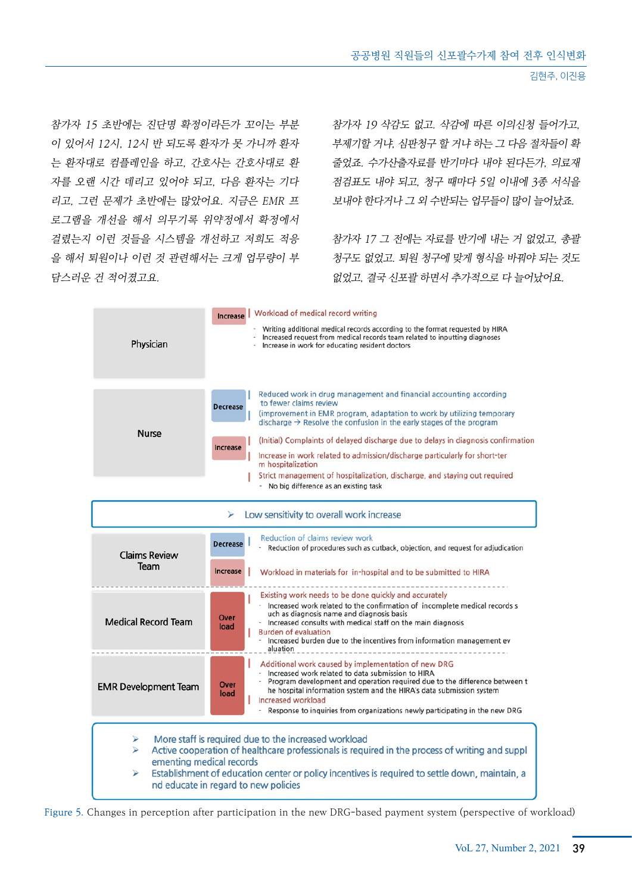참가자 15 초반에는 진단명 확정이라든가 꼬이는 부분 이 있어서 12시, 12시 반 되도록 환자가 못 가니까 환자 는 환자대로 컴플레인을 하고, 간호사는 간호사대로 환 자를 오랜 시간 데리고 있어야 되고, 다음 환자는 기다 리고, 그런 문제가 초반에는 많았어요. 지금은 EMR 프 로그램을 개선을 해서 의무기록 위약정에서 확정에서 걸렸는지 이런 것들을 시스템을 개선하고 저희도 적응 을 해서 퇴원이나 이런 것 관련해서는 크게 업무량이 부 담스러운 건 적어졌고요.

참가자 19 삭감도 없고. 삭감에 따른 이의신청 들어가고, 부제기할 거냐, 심판청구 할 거냐 하는 그 다음 절차들이 확 줄었죠. 수가산출자료를 반기마다 내야 된다든가, 의료재 점검표도 내야 되고, 청구 때마다 5일 이내에 3종 서식을 보내야 한다거나 그 외 수반되는 업무들이 많이 늘어났죠.

참가자 17 그 전에는 자료를 반기에 내는 거 없었고, 총괄 청구도 없었고. 퇴원 청구에 맞게 형식을 바꿔야 되는 것도 없었고, 결국 신포괄 하면서 추가적으로 다 늘어났어요.

| Physician                                         | <b>Increase</b>   Workload of medical record writing<br>Writing additional medical records according to the format requested by HIRA<br>Increased request from medical records team related to inputting diagnoses<br>Increase in work for educating resident doctors                                                                                                                                                                                                                                                                                                                                            |  |  |  |  |  |
|---------------------------------------------------|------------------------------------------------------------------------------------------------------------------------------------------------------------------------------------------------------------------------------------------------------------------------------------------------------------------------------------------------------------------------------------------------------------------------------------------------------------------------------------------------------------------------------------------------------------------------------------------------------------------|--|--|--|--|--|
| <b>Nurse</b>                                      | Reduced work in drug management and financial accounting according<br>to fewer claims review<br><b>Decrease</b><br>(improvement in EMR program, adaptation to work by utilizing temporary<br>discharge $\rightarrow$ Resolve the confusion in the early stages of the program<br>(Initial) Complaints of delayed discharge due to delays in diagnosis confirmation<br><b>Increase</b><br>Increase in work related to admission/discharge particularly for short-ter<br>m hospitalization<br>Strict management of hospitalization, discharge, and staying out required<br>- No big difference as an existing task |  |  |  |  |  |
| Low sensitivity to overall work increase          |                                                                                                                                                                                                                                                                                                                                                                                                                                                                                                                                                                                                                  |  |  |  |  |  |
| <b>Claims Review</b><br>Team                      | Reduction of claims review work<br><b>Decrease</b><br>Reduction of procedures such as cutback, objection, and request for adjudication<br><b>Increase</b><br>Workload in materials for in-hospital and to be submitted to HIRA                                                                                                                                                                                                                                                                                                                                                                                   |  |  |  |  |  |
| <b>Medical Record Team</b>                        | Existing work needs to be done quickly and accurately<br>- Increased work related to the confirmation of incomplete medical records s<br>uch as diagnosis name and diagnosis basis<br>Over<br>- Increased consults with medical staff on the main diagnosis<br>load<br><b>Burden of evaluation</b><br>Increased burden due to the incentives from information management ev<br>aluation                                                                                                                                                                                                                          |  |  |  |  |  |
| <b>EMR Development Team</b>                       | Additional work caused by implementation of new DRG<br>- Increased work related to data submission to HIRA<br>Program development and operation required due to the difference between t<br>Over<br>he hospital information system and the HIRA's data submission system<br>load<br>Increased workload<br>Response to inquiries from organizations newly participating in the new DRG                                                                                                                                                                                                                            |  |  |  |  |  |
| ⋗<br>$\leqslant$<br>ementing medical records<br>⋗ | More staff is required due to the increased workload<br>Active cooperation of healthcare professionals is required in the process of writing and suppl<br>Establishment of education center or policy incentives is required to settle down, maintain, a<br>nd educate in regard to new policies                                                                                                                                                                                                                                                                                                                 |  |  |  |  |  |

Figure 5. Changes in perception after participation in the new DRG-based payment system (perspective of workload)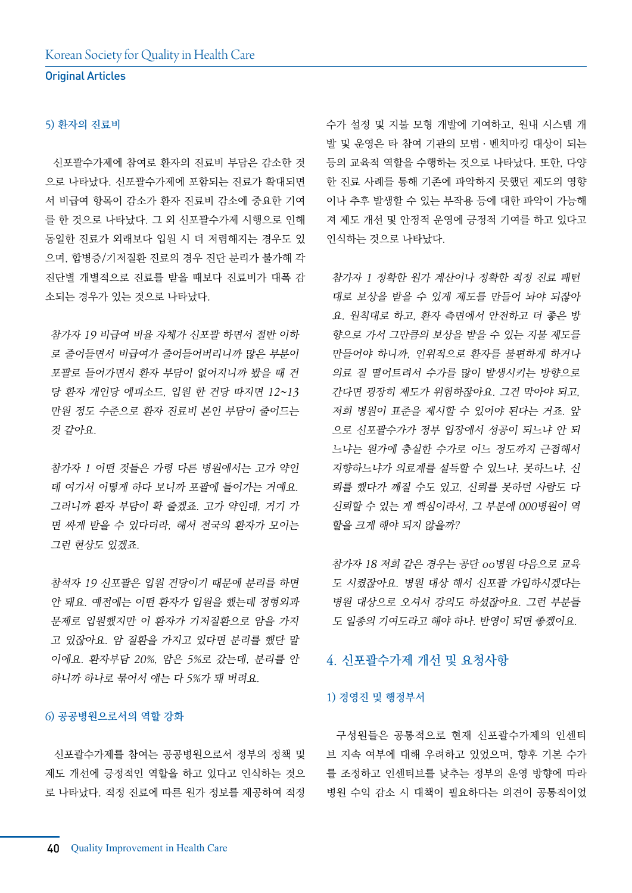#### 5) 환자의 진료비

 신포괄수가제에 참여로 환자의 진료비 부담은 감소한 것 으로 나타났다. 신포괄수가제에 포함되는 진료가 확대되면 서 비급여 항목이 감소가 환자 진료비 감소에 중요한 기여 를 한 것으로 나타났다. 그 외 신포괄수가제 시행으로 인해 동일한 진료가 외래보다 입원 시 더 저렴해지는 경우도 있 으며, 합병증/기저질환 진료의 경우 진단 분리가 불가해 각 진단별 개별적으로 진료를 받을 때보다 진료비가 대폭 감 소되는 경우가 있는 것으로 나타났다.

참가자 19 비급여 비율 자체가 신포괄 하면서 절반 이하 로 줄어들면서 비급여가 줄어들어버리니까 많은 부분이 포괄로 들어가면서 환자 부담이 없어지니까 봤을 때 건 당 환자 개인당 에피소드, 입원 한 건당 따지면 12~13 만원 정도 수준으로 환자 진료비 본인 부담이 줄어드는 것 같아요.

참가자 1 어떤 것들은 가령 다른 병원에서는 고가 약인 데 여기서 어떻게 하다 보니까 포괄에 들어가는 거예요. 그러니까 환자 부담이 확 줄겠죠. 고가 약인데, 거기 가 면 싸게 받을 수 있다더라, 해서 전국의 환자가 모이는 그런 현상도 있겠죠.

참석자 19 신포괄은 입원 건당이기 때문에 분리를 하면 안 돼요. 예전에는 어떤 환자가 입원을 했는데 정형외과 문제로 입원했지만 이 환자가 기저질환으로 암을 가지 고 있잖아요. 암 질환을 가지고 있다면 분리를 했단 말 이에요. 환자부담 20%, 암은 5%로 갔는데, 분리를 안 하니까 하나로 묶어서 얘는 다 5%가 돼 버려요.

#### 6) 공공병원으로서의 역할 강화

 신포괄수가제를 참여는 공공병원으로서 정부의 정책 및 제도 개선에 긍정적인 역할을 하고 있다고 인식하는 것으 로 나타났다. 적정 진료에 따른 원가 정보를 제공하여 적정

수가 설정 및 지불 모형 개발에 기여하고, 원내 시스템 개 발 및 운영은 타 참여 기관의 모범ㆍ벤치마킹 대상이 되는 등의 교육적 역할을 수행하는 것으로 나타났다. 또한, 다양 한 진료 사례를 통해 기존에 파악하지 못했던 제도의 영향 이나 추후 발생할 수 있는 부작용 등에 대한 파악이 가능해 져 제도 개선 및 안정적 운영에 긍정적 기여를 하고 있다고 인식하는 것으로 나타났다.

참가자 1 정확한 원가 계산이나 정확한 적정 진료 패턴 대로 보상을 받을 수 있게 제도를 만들어 놔야 되잖아 요. 원칙대로 하고, 환자 측면에서 안전하고 더 좋은 방 향으로 가서 그만큼의 보상을 받을 수 있는 지불 제도를 만들어야 하니까, 인위적으로 환자를 불편하게 하거나 의료 질 떨어트려서 수가를 많이 발생시키는 방향으로 간다면 굉장히 제도가 위험하잖아요. 그건 막아야 되고, 저희 병원이 표준을 제시할 수 있어야 된다는 거죠. 앞 으로 신포괄수가가 정부 입장에서 성공이 되느냐 안 되 느냐는 원가에 충실한 수가로 어느 정도까지 근접해서 지향하느냐가 의료계를 설득할 수 있느냐, 못하느냐, 신 뢰를 했다가 깨질 수도 있고, 신뢰를 못하던 사람도 다 신뢰할 수 있는 게 핵심이라서, 그 부분에 000병원이 역 할을 크게 해야 되지 않을까?

참가자 18 저희 같은 경우는 공단 oo병원 다음으로 교육 도 시켰잖아요. 병원 대상 해서 신포괄 가입하시겠다는 병원 대상으로 오셔서 강의도 하셨잖아요. 그런 부분들 도 일종의 기여도라고 해야 하나. 반영이 되면 좋겠어요.

#### 4. 신포괄수가제 개선 및 요청사항

#### 1) 경영진 및 행정부서

 구성원들은 공통적으로 현재 신포괄수가제의 인센티 브 지속 여부에 대해 우려하고 있었으며, 향후 기본 수가 를 조정하고 인센티브를 낮추는 정부의 운영 방향에 따라 병원 수익 감소 시 대책이 필요하다는 의견이 공통적이었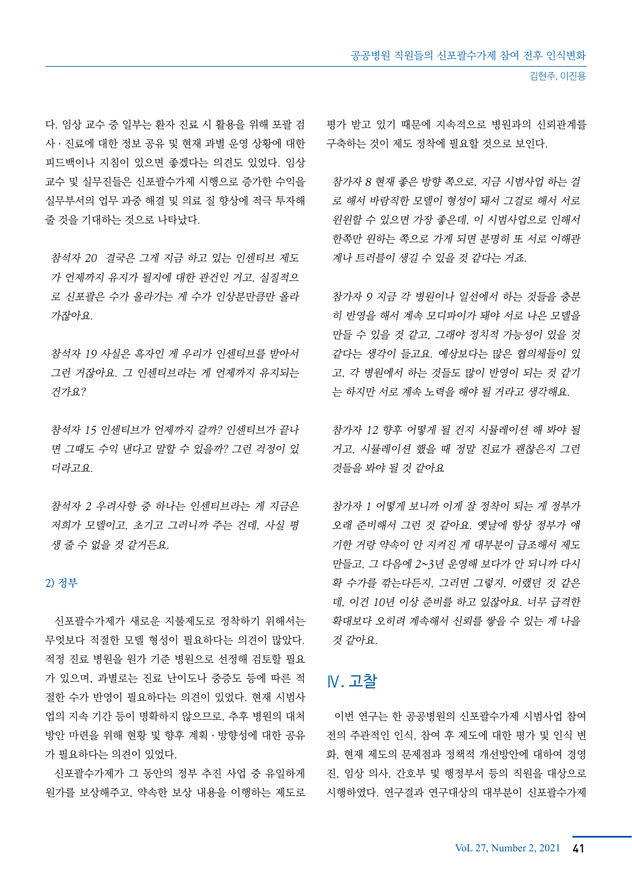다. 임상 교수 중 일부는 환자 진료 시 활용을 위해 포괄 검 사ㆍ진료에 대한 정보 공유 및 현재 과별 운영 상황에 대한 피드백이나 지침이 있으면 좋겠다는 의견도 있었다. 임상 교수 및 실무진들은 신포괄수가제 시행으로 증가한 수익을 실무부서의 업무 과중 해결 및 의료 질 향상에 적극 투자해 줄 것을 기대하는 것으로 나타났다.

참석자 20 결국은 그게 지금 하고 있는 인센티브 제도 가 언제까지 유지가 될지에 대한 관건인 거고, 실질적으 로 신포괄은 수가 올라가는 게 수가 인상분만큼만 올라 가잖아요.

참석자 19 사실은 흑자인 게 우리가 인센티브를 받아서 그런 거잖아요. 그 인센티브라는 게 언제까지 유지되는 건가요?

참석자 15 인센티브가 언제까지 갈까? 인센티브가 끝나 면 그때도 수익 낸다고 말할 수 있을까? 그런 걱정이 있 더라고요.

참석자 2 우려사항 중 하나는 인센티브라는 게 지금은 저희가 모델이고, 초기고 그러니까 주는 건데, 사실 평 생 줄 수 없을 것 같거든요.

#### 2) 정부

 신포괄수가제가 새로운 지불제도로 정착하기 위해서는 무엇보다 적절한 모델 형성이 필요하다는 의견이 많았다. 적정 진료 병원을 원가 기준 병원으로 선정해 검토할 필요 가 있으며, 과별로는 진료 난이도나 중증도 등에 따른 적 절한 수가 반영이 필요하다는 의견이 있었다. 현재 시범사 업의 지속 기간 등이 명확하지 않으므로, 추후 병원의 대처 방안 마련을 위해 현황 및 향후 계획ㆍ방향성에 대한 공유 가 필요하다는 의견이 있었다.

 신포괄수가제가 그 동안의 정부 추진 사업 중 유일하게 원가를 보상해주고, 약속한 보상 내용을 이행하는 제도로

평가 받고 있기 때문에 지속적으로 병원과의 신뢰관계를 구축하는 것이 제도 정착에 필요할 것으로 보인다.

참가자 8 현재 좋은 방향 쪽으로, 지금 시범사업 하는 걸 로 해서 바람직한 모델이 형성이 돼서 그걸로 해서 서로 윈윈할 수 있으면 가장 좋은데, 이 시범사업으로 인해서 한쪽만 윈하는 쪽으로 가게 되면 분명히 또 서로 이해관 계나 트러블이 생길 수 있을 것 같다는 거죠.

참가자 9 지금 각 병원이나 일선에서 하는 것들을 충분 히 반영을 해서 계속 모디파이가 돼야 서로 나은 모델을 만들 수 있을 것 같고, 그래야 정치적 가능성이 있을 것 같다는 생각이 들고요. 예상보다는 많은 협의체들이 있 고, 각 병원에서 하는 것들도 많이 반영이 되는 것 같기 는 하지만 서로 계속 노력을 해야 될 거라고 생각해요.

참가자 12 향후 어떻게 될 건지 시뮬레이션 해 봐야 될 거고, 시뮬레이션 했을 때 정말 진료가 괜찮은지 그런 것들을 봐야 될 것 같아요

참가자 1 어떻게 보니까 이게 잘 정착이 되는 게 정부가 오래 준비해서 그런 것 같아요. 옛날에 항상 정부가 얘 기한 거랑 약속이 안 지켜진 게 대부분이 급조해서 제도 만들고, 그 다음에 2~3년 운영해 보다가 안 되니까 다시 확 수가를 깎는다든지, 그러면 그렇지, 이랬던 것 같은 데, 이건 10년 이상 준비를 하고 있잖아요. 너무 급격한 확대보다 오히려 계속해서 신뢰를 쌓을 수 있는 게 나을 것 같아요.

#### Ⅳ. 고찰

 이번 연구는 한 공공병원의 신포괄수가제 시범사업 참여 전의 주관적인 인식, 참여 후 제도에 대한 평가 및 인식 변 화, 현재 제도의 문제점과 정책적 개선방안에 대하여 경영 진, 임상 의사, 간호부 및 행정부서 등의 직원을 대상으로 시행하였다. 연구결과 연구대상의 대부분이 신포괄수가제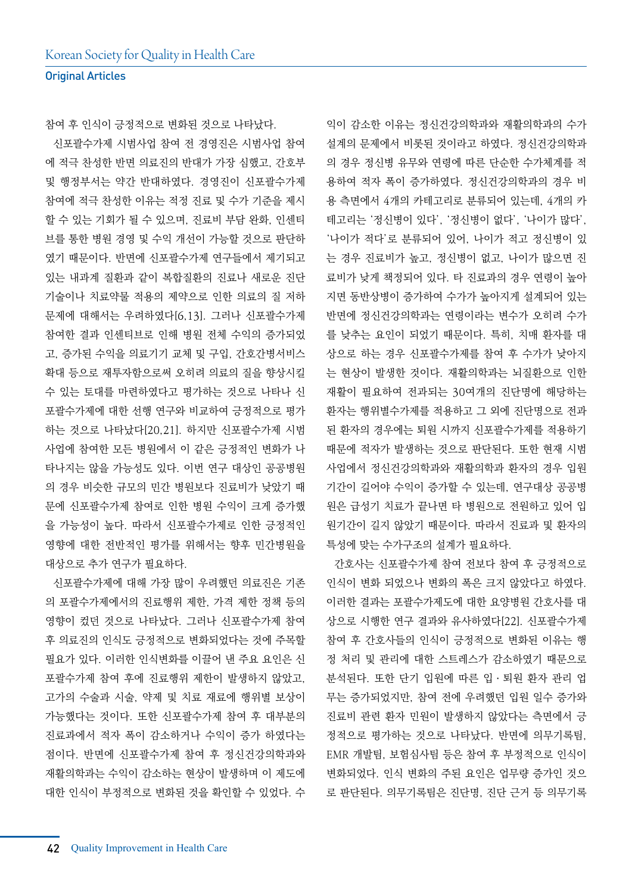참여 후 인식이 긍정적으로 변화된 것으로 나타났다.

 신포괄수가제 시범사업 참여 전 경영진은 시범사업 참여 에 적극 찬성한 반면 의료진의 반대가 가장 심했고, 간호부 및 행정부서는 약간 반대하였다. 경영진이 신포괄수가제 참여에 적극 찬성한 이유는 적정 진료 및 수가 기준을 제시 할 수 있는 기회가 될 수 있으며, 진료비 부담 완화, 인센티 브를 통한 병원 경영 및 수익 개선이 가능할 것으로 판단하 였기 때문이다. 반면에 신포괄수가제 연구들에서 제기되고 있는 내과계 질환과 같이 복합질환의 진료나 새로운 진단 기술이나 치료약물 적용의 제약으로 인한 의료의 질 저하 문제에 대해서는 우려하였다[6,13]. 그러나 신포괄수가제 참여한 결과 인센티브로 인해 병원 전체 수익의 증가되었 고, 증가된 수익을 의료기기 교체 및 구입, 간호간병서비스 확대 등으로 재투자함으로써 오히려 의료의 질을 향상시킬 수 있는 토대를 마련하였다고 평가하는 것으로 나타나 신 포괄수가제에 대한 선행 연구와 비교하여 긍정적으로 평가 하는 것으로 나타났다[20,21]. 하지만 신포괄수가제 시범 사업에 참여한 모든 병원에서 이 같은 긍정적인 변화가 나 타나지는 않을 가능성도 있다. 이번 연구 대상인 공공병원 의 경우 비슷한 규모의 민간 병원보다 진료비가 낮았기 때 문에 신포괄수가제 참여로 인한 병원 수익이 크게 증가했 을 가능성이 높다. 따라서 신포괄수가제로 인한 긍정적인 영향에 대한 전반적인 평가를 위해서는 향후 민간병원을 대상으로 추가 연구가 필요하다.

 신포괄수가제에 대해 가장 많이 우려했던 의료진은 기존 의 포괄수가제에서의 진료행위 제한, 가격 제한 정책 등의 영향이 컸던 것으로 나타났다. 그러나 신포괄수가제 참여 후 의료진의 인식도 긍정적으로 변화되었다는 것에 주목할 필요가 있다. 이러한 인식변화를 이끌어 낸 주요 요인은 신 포괄수가제 참여 후에 진료행위 제한이 발생하지 않았고, 고가의 수술과 시술, 약제 및 치료 재료에 행위별 보상이 가능했다는 것이다. 또한 신포괄수가제 참여 후 대부분의 진료과에서 적자 폭이 감소하거나 수익이 증가 하였다는 점이다. 반면에 신포괄수가제 참여 후 정신건강의학과와 재활의학과는 수익이 감소하는 현상이 발생하며 이 제도에 대한 인식이 부정적으로 변화된 것을 확인할 수 있었다. 수

익이 감소한 이유는 정신건강의학과와 재활의학과의 수가 설계의 문제에서 비롯된 것이라고 하였다. 정신건강의학과 의 경우 정신병 유무와 연령에 따른 단순한 수가체계를 적 용하여 적자 폭이 증가하였다. 정신건강의학과의 경우 비 용 측면에서 4개의 카테고리로 분류되어 있는데, 4개의 카 테고리는 '정신병이 있다', '정신병이 없다', '나이가 많다', '나이가 적다'로 분류되어 있어, 나이가 적고 정신병이 있 는 경우 진료비가 높고, 정신병이 없고, 나이가 많으면 진 료비가 낮게 책정되어 있다. 타 진료과의 경우 연령이 높아 지면 동반상병이 증가하여 수가가 높아지게 설계되어 있는 반면에 정신건강의학과는 연령이라는 변수가 오히려 수가 를 낮추는 요인이 되었기 때문이다. 특히, 치매 환자를 대 상으로 하는 경우 신포괄수가제를 참여 후 수가가 낮아지 는 현상이 발생한 것이다. 재활의학과는 뇌질환으로 인한 재활이 필요하여 전과되는 30여개의 진단명에 해당하는 환자는 행위별수가제를 적용하고 그 외에 진단명으로 전과 된 환자의 경우에는 퇴원 시까지 신포괄수가제를 적용하기 때문에 적자가 발생하는 것으로 판단된다. 또한 현재 시범 사업에서 정신건강의학과와 재활의학과 환자의 경우 입원 기간이 길어야 수익이 증가할 수 있는데, 연구대상 공공병 원은 급성기 치료가 끝나면 타 병원으로 전원하고 있어 입 원기간이 길지 않았기 때문이다. 따라서 진료과 및 환자의 특성에 맞는 수가구조의 설계가 필요하다.

 간호사는 신포괄수가제 참여 전보다 참여 후 긍정적으로 인식이 변화 되었으나 변화의 폭은 크지 않았다고 하였다. 이러한 결과는 포괄수가제도에 대한 요양병원 간호사를 대 상으로 시행한 연구 결과와 유사하였다[22]. 신포괄수가제 참여 후 간호사들의 인식이 긍정적으로 변화된 이유는 행 정 처리 및 관리에 대한 스트레스가 감소하였기 때문으로 분석된다. 또한 단기 입원에 따른 입ㆍ퇴원 환자 관리 업 무는 증가되었지만, 참여 전에 우려했던 입원 일수 증가와 진료비 관련 환자 민원이 발생하지 않았다는 측면에서 긍 정적으로 평가하는 것으로 나타났다. 반면에 의무기록팀, EMR 개발팀, 보험심사팀 등은 참여 후 부정적으로 인식이 변화되었다. 인식 변화의 주된 요인은 업무량 증가인 것으 로 판단된다. 의무기록팀은 진단명, 진단 근거 등 의무기록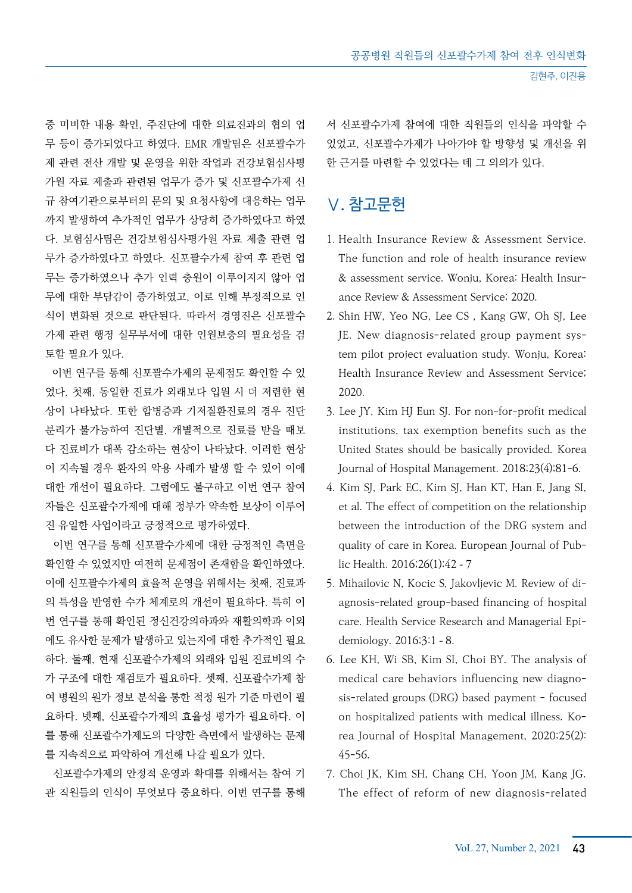중 미비한 내용 확인, 주진단에 대한 의료진과의 협의 업 무 등이 증가되었다고 하였다. EMR 개발팀은 신포괄수가 제 관련 전산 개발 및 운영을 위한 작업과 건강보험심사평 가원 자료 제출과 관련된 업무가 증가 및 신포괄수가제 신 규 참여기관으로부터의 문의 및 요청사항에 대응하는 업무 까지 발생하여 추가적인 업무가 상당히 증가하였다고 하였 다. 보험심사팀은 건강보험심사평가원 자료 제출 관련 업 무가 증가하였다고 하였다. 신포괄수가제 참여 후 관련 업 무는 증가하였으나 추가 인력 충원이 이루이지지 않아 업 무에 대한 부담감이 증가하였고, 이로 인해 부정적으로 인 식이 변화된 것으로 판단된다. 따라서 경영진은 신포괄수 가제 관련 행정 실무부서에 대한 인원보충의 필요성을 검 토할 필요가 있다.

 이번 연구를 통해 신포괄수가제의 문제점도 확인할 수 있 었다. 첫째, 동일한 진료가 외래보다 입원 시 더 저렴한 현 상이 나타났다. 또한 합병증과 기저질환진료의 경우 진단 분리가 불가능하여 진단별, 개별적으로 진료를 받을 때보 다 진료비가 대폭 감소하는 현상이 나타났다. 이러한 현상 이 지속될 경우 환자의 악용 사례가 발생 할 수 있어 이에 대한 개선이 필요하다. 그럼에도 불구하고 이번 연구 참여 자들은 신포괄수가제에 대해 정부가 약속한 보상이 이루어 진 유일한 사업이라고 긍정적으로 평가하였다.

 이번 연구를 통해 신포괄수가제에 대한 긍정적인 측면을 확인할 수 있었지만 여전히 문제점이 존재함을 확인하였다. 이에 신포괄수가제의 효율적 운영을 위해서는 첫째, 진료과 의 특성을 반영한 수가 체계로의 개선이 필요하다. 특히 이 번 연구를 통해 확인된 정신건강의하과와 재활의학과 이외 에도 유사한 문제가 발생하고 있는지에 대한 추가적인 필요 하다. 둘째, 현재 신포괄수가제의 외래와 입원 진료비의 수 가 구조에 대한 재검토가 필요하다. 셋째, 신포괄수가제 참 여 병원의 원가 정보 분석을 통한 적정 원가 기준 마련이 필 요하다. 넷째, 신포괄수가제의 효율성 평가가 필요하다. 이 를 통해 신포괄수가제도의 다양한 측면에서 발생하는 문제 를 지속적으로 파악하여 개선해 나갈 필요가 있다.

 신포괄수가제의 안정적 운영과 확대를 위해서는 참여 기 관 직원들의 인식이 무엇보다 중요하다. 이번 연구를 통해 서 신포괄수가제 참여에 대한 직원들의 인식을 파악할 수 있었고, 신포괄수가제가 나아가야 할 방향성 및 개선을 위 한 근거를 마련할 수 있었다는 데 그 의의가 있다.

## Ⅴ. 참고문헌

- 1. Health Insurance Review & Assessment Service. The function and role of health insurance review & assessment service. Wonju, Korea: Health Insurance Review & Assessment Service; 2020.
- 2. Shin HW, Yeo NG, Lee CS , Kang GW, Oh SJ, Lee JE. New diagnosis-related group payment system pilot project evaluation study. Wonju, Korea: Health Insurance Review and Assessment Service; 2020.
- 3. Lee JY, Kim HJ Eun SJ. For non-for-profit medical institutions, tax exemption benefits such as the United States should be basically provided. Korea Journal of Hospital Management. 2018;23(4);81-6.
- 4. Kim SJ, Park EC, Kim SJ, Han KT, Han E, Jang SI, et al. The effect of competition on the relationship between the introduction of the DRG system and quality of care in Korea. European Journal of Public Health. 2016;26(1):42–7
- 5. Mihailovic N, Kocic S, Jakovljevic M. Review of diagnosis-related group-based financing of hospital care. Health Service Research and Managerial Epidemiology. 2016;3:1–8.
- 6. Lee KH, Wi SB, Kim SI, Choi BY. The analysis of medical care behaviors influencing new diagnosis-related groups (DRG) based payment - focused on hospitalized patients with medical illness. Korea Journal of Hospital Management, 2020;25(2): 45-56.
- 7. Choi JK, Kim SH, Chang CH, Yoon JM, Kang JG. The effect of reform of new diagnosis-related